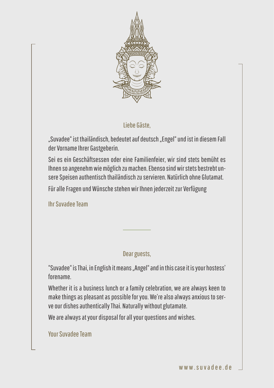

#### Liebe Gäste,

"Suvadee" ist thailändisch, bedeutet auf deutsch "Engel" und ist in diesem Fall der Vorname Ihrer Gastgeberin.

Sei es ein Geschäftsessen oder eine Familienfeier, wir sind stets bemüht es Ihnen so angenehm wie möglich zu machen. Ebenso sind wir stets bestrebt unsere Speisen authentisch thailändisch zu servieren. Natürlich ohne Glutamat.

Für alle Fragen und Wünsche stehen wir Ihnen jederzeit zur Verfügung

Ihr Suvadee Team

Dear guests,

"Suvadee" is Thai, in English it means "Angel" and in this case it is your hostess' forename.

Whether it is a business lunch or a family celebration, we are always keen to make things as pleasant as possible for you. We're also always anxious to serve our dishes authentically Thai. Naturally without glutamate.

We are always at your disposal for all your questions and wishes.

Your Suvadee Team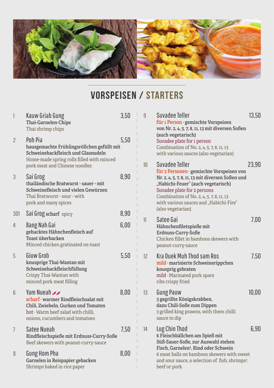

### Vorspeisen / Starters

| $\mathbf{1}$   | Kauw Griab Gung<br>Thai-Garnelen-Chips<br>Thai shrimp chips                                                                                                                       | 3,50 | 9               | <b>Suvadee Teller</b><br>für 1 Person · gemischte Vorspeisen<br>von Nr. 2, 4, 5, 7, 8, 11, 13 mit diversen Soßen                                                                                                                                                                  | 13,50 |
|----------------|-----------------------------------------------------------------------------------------------------------------------------------------------------------------------------------|------|-----------------|-----------------------------------------------------------------------------------------------------------------------------------------------------------------------------------------------------------------------------------------------------------------------------------|-------|
| $\overline{2}$ | Poh Pia<br>hausgemachte Frühlingsröllchen gefüllt mit<br>Schweinehackfleisch und Glasnudeln<br>Home-made spring rolls filled with minced                                          | 5,50 |                 | (auch vegetarisch)<br>Suvadee plate for 1 person<br>Combination of No. 2, 4, 5, 7, 8, 11, 13<br>with various sauces (also vegetarian)                                                                                                                                             |       |
| 3              | pork meat and Chinese noodles<br>Sai Grog<br>thailändische Bratwurst - sauer - mit<br>Schweinefleisch und vielen Gewürzen<br>Thai Bratwurst - sour - with<br>pork and many spices | 8,90 | 10 <sup>°</sup> | <b>Suvadee Teller</b><br>für 2 Personen · gemischte Vorspeisen von<br>Nr. 2, 4, 5, 7, 8, 11, 13 mit diversen Soßen und<br>"Habichi-Feuer" (auch vegetarisch)<br>Suvadee plate for 2 persons<br>Combination of No. 2, 4, 5, 7, 8, 11, 13<br>with various sauces and "Habichi-Fire" | 23,90 |
| 301            | Sai Grog scharf spicy                                                                                                                                                             | 8,90 | 11              | (also vegetarian)                                                                                                                                                                                                                                                                 | 7,00  |
| 4              | Bang Nah Gai<br>gehacktes Hähnchenfleisch auf<br>Toast überbacken<br>Minced chicken gratinated on toast                                                                           | 6,00 |                 | Satee Gai<br>Hähnchenfiletspieße mit<br>Erdnuss-Curry-Soße<br>Chicken fillet in bamboos skewers with<br>peanut-curry-sauce                                                                                                                                                        |       |
| 5              | Giuw Grob<br>knusprige Thai-Wantan mit<br>Schweinehackfleischfüllung<br>Crispy Thai-Wantan with<br>minced pork meat filling                                                       | 5,50 | 12              | <b>Kra Duek Muh Thod sam Ros</b><br>mild · marinierte Schweinerippchen<br>knusprig gebraten<br>mild · Marinated pork spare<br>ribs crispy fried                                                                                                                                   | 7,50  |
| 6              | Yam Nueah <b>A</b><br>scharf · warmer Rindfleischsalat mit<br>Chili, Zwiebeln, Gurken und Tomaten<br>hot · Warm beef salad with chilli,<br>onions, cucumbers and tomatoes         | 8,00 | 13              | <b>Gung Pauw</b><br>3 gegrillte Königskrabben,<br>dazu Chili-Soße zum Dippen<br>3 grilled king prawns, with them chilli<br>sauce to dip                                                                                                                                           | 10,00 |
| $\overline{1}$ | Satee Nueah<br>Rindfleischspieße mit Erdnuss-Curry-Soße<br>Beef skewers with peanut-curry-sauce                                                                                   | 7,50 | 14              | Lug Chin Thod<br>6 Fleischbällchen am Spieß mit<br>Süß-Sauer-Soße, zur Auswahl stehen                                                                                                                                                                                             | 6,90  |
| 8              | <b>Gung Hom Pha</b><br>Garnelen in Reispapier gebacken<br>Shrimps baked in rice paper                                                                                             | 8,00 |                 | Fisch, Garnelen <sup>2</sup> , Rind oder Schwein<br>6 meat balls on bamboos skewers with sweet<br>and sour sauce, a selection of fish, shrimps <sup>2</sup> ,<br>beef or pork                                                                                                     |       |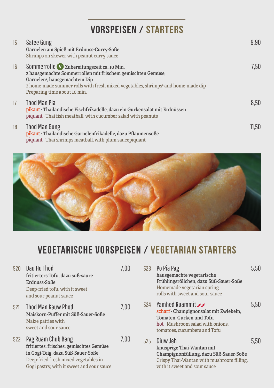## Vorspeisen / Starters

| 15 | Satee Gung<br>Garnelen am Spieß mit Erdnuss-Curry-Soße<br>Shrimps on skewer with peanut curry sauce                                                                                                                                                                                    | 9,90  |
|----|----------------------------------------------------------------------------------------------------------------------------------------------------------------------------------------------------------------------------------------------------------------------------------------|-------|
| 16 | Sommerrolle V Zubereitungszeit ca. 10 Min.<br>2 hausgemachte Sommerrollen mit frischem gemischten Gemüse,<br>Garnelen <sup>2</sup> , hausgemachtem Dip<br>2 home-made summer rolls with fresh mixed vegetables, shrimps <sup>2</sup> and home-made dip<br>Preparing time about 10 min. | 7,50  |
| 17 | <b>Thod Man Pla</b><br>pikant · Thailändische Fischfrikadelle, dazu ein Gurkensalat mit Erdnüssen<br>$pi$ quant $\cdot$ Thai fish meatball, with cucumber salad with peanuts                                                                                                           | 8,50  |
| 18 | <b>Thod Man Gung</b><br>pikant · Thailändische Garnelenfrikadelle, dazu Pflaumensoße<br>$pi$ quant $\cdot$ Thai shrimps meatball, with plum saucepiquant                                                                                                                               | 11,50 |



## Vegetarische Vorspeisen / Vegetarian Starters

| 520 | Dau Hu Thod<br>fritierters Tofu, dazu süß-saure<br>Erdnuss-Soße<br>Deep-fried tofu, with it sweet<br>and sour peanut sauce                                                              | 7,00 | 523 | Po Pia Pag<br>hausgemachte vegetarische<br>Frühlingsröllchen, dazu Süß-Sauer-Soße<br>Homemade vegetarian spring<br>rolls with sweet and sour sauce            | 5,50 |
|-----|-----------------------------------------------------------------------------------------------------------------------------------------------------------------------------------------|------|-----|---------------------------------------------------------------------------------------------------------------------------------------------------------------|------|
| 521 | <b>Thod Man Kauw Phod</b><br>Maiskorn-Puffer mit Süß-Sauer-Soße<br>Maize patties with<br>sweet and sour sauce                                                                           | 7,00 |     | 524 Yamhed Ruammit<br>scharf · Champignonsalat mit Zwiebeln,<br>Tomaten, Gurken und Tofu<br>hot · Mushroom salad with onions,<br>tomatoes, cucumbers and Tofu | 5,50 |
| 522 | Pag Ruam Chub Beng<br>fritiertes, frisches, gemischtes Gemüse<br>in Gogi-Teig, dazu Süß-Sauer-Soße<br>Deep-fried fresh mixed vegetables in<br>Gogi pastry, with it sweet and sour sauce | 7,00 | 525 | Giuw Jeh<br>knusprige Thai-Wantan mit<br>Champignonfüllung, dazu Süß-Sauer-Soße<br>Crispy Thai-Wantan with mushroom filling,<br>with it sweet and sour sauce  | 5,50 |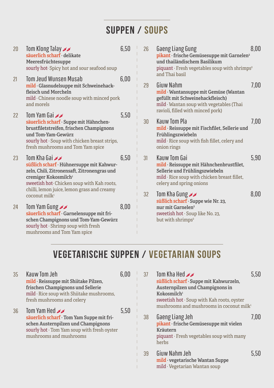#### Suppen / Soups

| 20              | Tom Klong Talay<br>säuerlich scharf · delikate<br>Meeresfrüchtesuppe<br>sourly hot Spicy hot and sour seafood soup                                                                                                                     | 6,50 | 26              | <b>Gaeng Liang Gung</b><br>pikant · frische Gemüsesuppe mit Garnelen <sup>2</sup><br>und thailändischem Basilikum<br>piquant · Fresh vegetables soup with shrimps <sup>2</sup><br>and Thai basil    | 8,00 |
|-----------------|----------------------------------------------------------------------------------------------------------------------------------------------------------------------------------------------------------------------------------------|------|-----------------|-----------------------------------------------------------------------------------------------------------------------------------------------------------------------------------------------------|------|
| 21              | Tom Jeud Wunsen Musab<br>mild · Glasnudelsuppe mit Schweinehack-<br>fleisch und Morcheln<br>mild · Chinese noodle soup with minced pork<br>and morels                                                                                  | 6,00 | 29              | Giuw Nahm<br>mild · Wantansuppe mit Gemüse (Wantan<br>gefüllt mit Schweinehackfleisch)<br>mild · Wantan soup with vegetables (Thai                                                                  | 7,00 |
| 22 <sup>2</sup> | Tom Yam Gai <b>⊿</b><br>säuerlich scharf · Suppe mit Hähnchen-<br>brustfiletstreifen, frischen Champignons<br>und Tom-Yam-Gewürz<br>sourly hot · Soup with chicken breast strips,<br>fresh mushrooms and Tom Yam spice                 | 5,50 | 30              | ravioli, filled with minced pork)<br><b>Kauw Tom Pla</b><br>mild · Reissuppe mit Fischfilet, Sellerie und<br>Frühlingszwiebeln<br>$mid \cdot$ Rice soup with fish fillet, celery and<br>onion rings | 7,00 |
| 23              | Tom Kha Gai<br>süßlich scharf · Hühnersuppe mit Kahwur-<br>zeln, Chili, Zitronensaft, Zitronengras und<br>cremiger Kokosmilch <sup>1</sup><br>sweetish hot Chicken soup with Kah roots,<br>chilli, lemon juice, lemon grass and creamy | 6,50 | 31              | <b>Kauw Tom Gai</b><br>mild · Reissuppe mit Hähnchenbrustfilet,<br>Sellerie und Frühlingszwiebeln<br>mild · Rice soup with chicken breast fillet,<br>celery and spring onions                       | 5,90 |
| 24              | coconut milk <sup>1</sup><br>Tom Yam Gung ⊿<br>säuerlich scharf · Garnelensuppe mit fri-<br>schen Champignons und Tom-Yam-Gewürz<br>sourly hot · Shrimp soup with fresh<br>mushrooms and Tom Yam spice                                 | 8,00 | 32 <sup>°</sup> | Tom Kha Gung <b>⊿</b><br>süßlich scharf · Suppe wie Nr. 23,<br>nur mit Garnelen <sup>2</sup><br>sweetish hot · Soup like No. 23,<br>but with shrimps <sup>2</sup>                                   | 8,00 |

### Vegetarische Suppen / Vegetarian Soups

| 35 | <b>Kauw Tom Jeh</b><br>mild · Reissuppe mit Shiitake Pilzen,<br>frischen Champignons und Sellerie<br>mild · Rice soup with Shiitake mushrooms,<br>fresh mushrooms and celery       | 6,00 | 37 | Tom Kha Hed <b>⊿</b><br>süßlich scharf · Suppe mit Kahwurzeln,<br>Austernpilzen und Champignons in<br>Kokosmilch <sup>1</sup><br>sweetish hot · Soup with Kah roots, oyster          | 5,50 |
|----|------------------------------------------------------------------------------------------------------------------------------------------------------------------------------------|------|----|--------------------------------------------------------------------------------------------------------------------------------------------------------------------------------------|------|
| 36 | Tom Yam Hed <b>A</b><br>säuerlich scharf · Tom Yam Suppe mit fri-<br>schen Austernpilzen und Champignons<br>sourly hot · Tom Yam soup with fresh oyster<br>mushrooms and mushrooms | 5,50 | 38 | mushrooms and mushrooms in coconut milk <sup>1</sup><br>Gaeng Liang Jeh<br>pikant · frische Gemüsesuppe mit vielen<br>Kräutern<br>piquant · Fresh vegetables soup with many<br>herbs | 7.00 |
|    |                                                                                                                                                                                    |      | 39 | Giuw Nahm Jeh<br>mild · vegetarische Wantan Suppe<br>mild · Vegetarian Wantan soup                                                                                                   | 5,50 |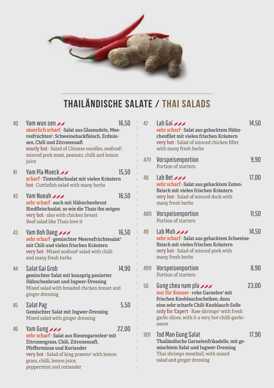

## Thailändische Salate / Thai Salads

| 40 | Yam wun sen<br>säuerlich scharf · Salat aus Glasnudeln, Mee-<br>resfrüchten <sup>2</sup> , Schweinehackfleisch, Erdnüs-<br>sen, Chili und Zitronensaft<br>sourly hot · Salad of Chinese noodles, seafood <sup>2</sup> ,                                                         | 16,50 | 47   | Lab Gai <i>øø</i><br>sehr scharf · Salat aus gehacktem Hähn-<br>chenfilet mit vielen frischen Kräutern<br>very hot · Salad of minced chicken fillet<br>with many fresh herbs            | 14,50 |
|----|---------------------------------------------------------------------------------------------------------------------------------------------------------------------------------------------------------------------------------------------------------------------------------|-------|------|-----------------------------------------------------------------------------------------------------------------------------------------------------------------------------------------|-------|
|    | minced pork meat, peanuts, chilli and lemon<br>juice                                                                                                                                                                                                                            |       | 4711 | Vorspeisenportion<br>Portion of starters                                                                                                                                                | 9,90  |
| 41 | Yam Pla Mueck 22<br>scharf · Tintenfischsalat mit vielen Kräutern<br>hot · Cuttlefish salad with many herbs                                                                                                                                                                     | 15,50 | 48   | Lab Bet<br>sehr scharf · Salat aus gehacktem Enten-<br>fleisch mit vielen frischen Kräutern                                                                                             | 17,00 |
| 42 | Yam Nueah AA<br>sehr scharf · auch mit Hähnchenbrust                                                                                                                                                                                                                            | 16,50 |      | very hot · Salad of minced duck with<br>many fresh herbs                                                                                                                                |       |
|    | Rindfleischsalat, so wie die Thais ihn mögen<br>very hot · also with chicken breast<br>Beef salad like Thais love it                                                                                                                                                            |       | 4811 | Vorspeisenportion<br>Portion of starters                                                                                                                                                | 11,50 |
| 43 | Yam Boh Daeg <i>øø</i><br>sehr scharf · gemischter Meeresfrüchtesalat <sup>2</sup><br>mit Chili und vielen frischen Kräutern<br>very hot · Mixed seafood <sup>2</sup> salad with chilli<br>and many fresh herbs                                                                 | 16,50 | 49   | Lab Muh 200<br>sehr scharf · Salat aus gehacktem Schweine-<br>fleisch mit vielen frischen Kräutern<br>very hot · Salad of minced pork with<br>many fresh herbs                          | 14,50 |
| 44 | Salat Gai Grob<br>gemischter Salat mit knusprig panierter                                                                                                                                                                                                                       | 14,90 |      | 4911 Vorspeisenportion<br>Portion of starters                                                                                                                                           | 8,90  |
|    | Hähnchenbrust und Ingwer-Dressing<br>Mixed salad with breaded chicken breast and<br>ginger dressing                                                                                                                                                                             |       | 50   | Gung chea nam pla<br>nur für Kenner · rohe Garnelen <sup>2</sup> mit                                                                                                                    | 23,00 |
| 45 | Salat Pag<br><b>Gemischter Salat mit Ingwer-Dressing</b><br>Mixed salad with ginger dressing                                                                                                                                                                                    | 5,50  |      | frischen Knoblauchscheiben, dazu<br>eine sehr scharfe Chili-Knoblauch-Soße<br>only for Expert · Raw shrimps <sup>2</sup> with fresh<br>garlic slices, with it a very hot chilli-garlic- |       |
| 46 | Yam Gung <b><i>dd</i></b><br>sehr scharf · Salat aus Riesengarnelen <sup>2</sup> mit<br>Zitronengrass, Chili, Zitronensaft,<br>Pfefferminze und Koriander<br>very hot · Salad of king prawns <sup>2</sup> with lemon<br>grass, chilli, lemon juice,<br>peppermint and coriander | 22,00 | 1811 | sauce<br><b>Tod Man Gung Salat</b><br>Thailändische Garnelenfrikadelle, mit ge-<br>mischtem Salat und Ingwer-Dressing<br>Thai shrimps meatball, with mixed<br>salad and ginger dressing | 17,90 |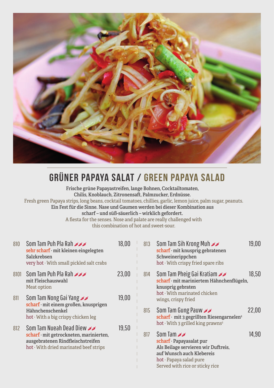

### Grüner Papaya Salat / Green Papaya Salad

Frische grüne Papayastreifen, lange Bohnen, Cocktailtomaten, Chilis, Knoblauch, Zitronensaft, Palmzucker, Erdnüsse. Fresh green Papaya strips, long beans, cocktail tomatoes, chillies, garlic, lemon juice, palm sugar, peanuts. Ein Fest für die Sinne. Nase und Gaumen werden bei dieser Kombination aus scharf – und süß-säuerlich – wirklich gefordert. A fiesta for the senses. Nose and palate are really challenged with this combination of hot and sweet-sour.

| 810  | Som Tam Puh Pla Rah AN<br>sehr scharf · mit kleinen eingelegten<br>Salzkrebsen<br>very hot · With small pickled salt crabs                              | 18,00 | 81 |
|------|---------------------------------------------------------------------------------------------------------------------------------------------------------|-------|----|
| 8101 | Som Tam Puh Pla Rah AN<br>mit Fleischauswahl<br>Meat option                                                                                             | 23,00 | 81 |
| 811  | Som Tam Nong Gai Yang<br>scharf · mit einem großen, knusprigen<br>Hähnchenschenkel<br>hot·With a big crispy chicken leg                                 | 19,00 | 81 |
| 812  | Som Tam Nueah Dead Diew<br>$scharf \cdot mit getrockneten, marinierten,$<br>ausgebratenen Rindfleischstreifen<br>$hot·With$ dried marinated beef strips | 19,50 | 81 |

| 813 | Som Tam Sih Krong Muh 2<br>scharf · mit knusprig gebratenen<br>Schweinerippchen<br>hot·With crispy friend spare ribs                                                                                     | 19,00 |
|-----|----------------------------------------------------------------------------------------------------------------------------------------------------------------------------------------------------------|-------|
|     | 814 Som Tam Pheig Gai Kratiam<br>scharf · mit mariniertem Hähnchenflügeln,<br>knusprig gebraten<br>hot · With marinated chicken<br>wings, crispy fried                                                   | 18,50 |
|     | 815 Som Tam Gung Pauw<br>scharf · mit 3 gegrillten Riesengarnelen <sup>2</sup><br>hot $\cdot$ With 3 grilled king prawns <sup>2</sup>                                                                    | 22,00 |
| 817 | Som Tam $\cancel{\rightarrow}$<br>$scharf \cdot Papayasalat pur$<br>Als Beilage servieren wir Duftreis,<br>auf Wunsch auch Klebereis<br>$hot \cdot$ Papaya salad pure<br>Served with rice or sticky rice | 14,90 |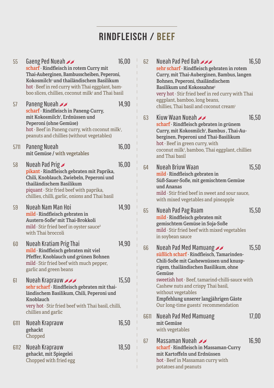#### Rindfleisch / Beef

55 Gaeng Ped Nueah  $\rightarrow$  scharf · Rindfleisch in rotem Curry mit Thai-Auberginen, Bambusscheiben, Peperoni, Kokosmilch<del>'</del> und thailändischem Basilikum hot · Beef in red curry with Thai eggplant, bamboo slices, chillies, coconut milk $^{\scriptscriptstyle 1}$  and Thai basil 57 Paneng Nueah 14,90 scharf · Rindfleisch in Paneng-Curry, mit Kokosmilch<del>'</del>, Erdnüssen und Peperoni (ohne Gemüse)  $hot · Beef in Paneng curry, with cocount milk<sup>1</sup>,$ peanuts and chillies (without vegetables) 5711 Paneng Nueah 16,00 mit Gemüse / with vegetables 58 Nueah Pad Prig **∡** 16,00 pikant · Rindfleisch gebraten mit Paprika, Chili, Knoblauch, Zwiebeln, Peperoni und thailändischem Basilikum  $p$ iquant  $\cdot$  Stir fried beef with paprika, chillies, chilli, garlic, onions and Thai basil 59 Nueah Nam Man Hoi 14,90 mild · Rindfleisch gebraten in Austern-Soße2 mit Thai-Brokkoli mild  $\cdot$  Stir fried beef in oyster sauce<sup>2</sup> with Thai broccoli 60 Nueah Kratiam Prig Thai 14,90 mild · Rindfleisch gebraten mit viel Pfeffer, Knoblauch und grünen Bohnen mild · Stir fried beef with much pepper, garlic and green beans 61 Nueah Kraprauw **15,50**  sehr scharf · Rindfleisch gebraten mit thailändischem Basilikum, Chili, Peperoni und Knoblauch very hot · Stir fried beef with Thai basil, chilli, chillies and garlic 6111 Nueah Kraprauw 16,50 gehackt Chopped 6112 Nueah Kraprauw 18,50 gehackt, mit Spiegelei Chopped with fried egg

| 62   | Nueah Pad Ped Bah ھەر<br>sehr scharf · Rindfleisch gebraten in rotem<br>Curry, mit Thai-Auberginen, Bambus, langen<br>Bohnen, Peperoni, thailändischem<br>Basilikum und Kokossahne <sup>1</sup><br>very hot · Stir fried beef in red curry with Thai<br>eggplant, bamboo, long beans,<br>chillies, Thai basil and coconut cream <sup>1</sup>                    | 16,50 |
|------|-----------------------------------------------------------------------------------------------------------------------------------------------------------------------------------------------------------------------------------------------------------------------------------------------------------------------------------------------------------------|-------|
| 63   | Kiuw Waan Nueah <b>⊿</b> ⊿<br>scharf · Rindfleisch gebraten in grünem<br>Curry, mit Kokosmilch <sup>1</sup> , Bambus, Thai-Au-<br>berginen, Peperoni und Thai-Basilikum<br>hot · Beef in green curry, with<br>coconut milk <sup>1</sup> , bamboo, Thai eggplant, chillies<br>and Thai basil                                                                     | 16,50 |
| 64   | Nueah Briuw Waan<br>mild · Rindfleisch gebraten in<br>Süß-Sauer-Soße, mit gemischtem Gemüse<br>und Ananas<br>mild · Stir fried beef in sweet and sour sauce,<br>with mixed vegetables and pineapple                                                                                                                                                             | 15,50 |
| 65   | Nueah Pad Pag Ruam<br>mild · Rindfleisch gebraten mit<br>gemischtem Gemüse in Soja-Soße<br>mild · Stir fried beef with mixed vegetables<br>in soybean sauce                                                                                                                                                                                                     | 15,50 |
| 66   | Nueah Pad Med Mamuang<br>süßlich scharf · Rindfleisch, Tamarinden-<br>Chili-Soße mit Cashewnüssen und knusp-<br>rigem, thailändischen Basilikum, ohne<br>Gemüse<br>sweetish hot · Beef, tamarind-chilli-sauce with<br>Cashew nuts and crispy Thai basil,<br>without vegetables<br>Empfehlung unserer langjährigen Gäste<br>Our long-time guests' recommendation | 15,50 |
| 6611 | <b>Nueah Pad Med Mamuang</b><br>mit Gemüse<br>with vegetables                                                                                                                                                                                                                                                                                                   | 17,00 |
| 67   | Massaman Nueah <b>⊿</b><br>scharf · Rindfleisch in Massaman-Curry<br>mit Kartoffeln und Erdnüssen<br>$hot \cdot$ Beef in Massaman curry with<br>potatoes and peanuts                                                                                                                                                                                            | 16,90 |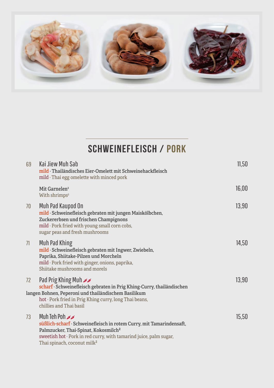

### Schweinefleisch / Pork

| 69 | Kai Jiew Muh Sab<br>mild · Thailändisches Eier-Omelett mit Schweinehackfleisch<br>mild · Thai egg omelette with minced pork                                                                                                                              | 11,50 |
|----|----------------------------------------------------------------------------------------------------------------------------------------------------------------------------------------------------------------------------------------------------------|-------|
|    | Mit Garnelen <sup>2</sup><br>With shrimps <sup>2</sup>                                                                                                                                                                                                   | 16,00 |
| 70 | Muh Pad Kaupod On<br>mild · Schweinefleisch gebraten mit jungen Maiskölbchen,<br>Zuckererbsen und frischen Champignons<br>mild · Pork fried with young small corn cobs,<br>sugar peas and fresh mushrooms                                                | 13,90 |
| 71 | Muh Pad Khing<br>mild · Schweinefleisch gebraten mit Ingwer, Zwiebeln,<br>Paprika, Shiitake-Pilzen und Morcheln<br>mild · Pork fried with ginger, onions, paprika,<br>Shiitake mushrooms and morels                                                      | 14,50 |
| 72 | Pad Prig Khing Muh ⊿⊿<br>scharf · Schweinefleisch gebraten in Prig Khing-Curry, thailändischen<br>langen Bohnen, Peperoni und thailändischem Basilikum<br>hot · Pork fried in Prig Khing curry, long Thai beans,<br>chillies and Thai basil              | 13,90 |
| 73 | Muh Teh Poh<br>süßlich-scharf · Schweinefleisch in rotem Curry, mit Tamarindensaft,<br>Palmzucker, Thai-Spinat, Kokosmilch <sup>2</sup><br>sweetish hot · Pork in red curry, with tamarind juice, palm sugar,<br>Thai spinach, coconut milk <sup>2</sup> | 15,50 |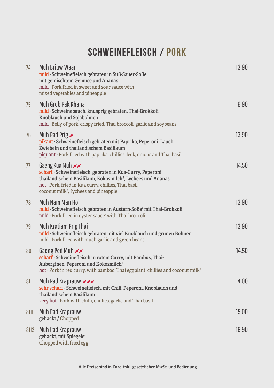### Schweinefleisch / Pork

| 74   | <b>Muh Briuw Waan</b><br>mild · Schweinefleisch gebraten in Süß-Sauer-Soße<br>mit gemischtem Gemüse und Ananas<br>mild · Pork fried in sweet and sour sauce with<br>mixed vegetables and pineapple                                                                            | 13,90 |
|------|-------------------------------------------------------------------------------------------------------------------------------------------------------------------------------------------------------------------------------------------------------------------------------|-------|
| 75   | Muh Grob Pak Khana<br>mild · Schweinebauch, knusprig gebraten, Thai-Brokkoli,<br>Knoblauch und Sojabohnen<br>mild · Belly of pork, crispy fried, Thai broccoli, garlic and soybeans                                                                                           | 16,90 |
| 76   | Muh Pad Prig<br>pikant · Schweinefleisch gebraten mit Paprika, Peperoni, Lauch,<br>Zwiebeln und thailändischem Basilikum<br>piquant · Pork fried with paprika, chillies, leek, onions and Thai basil                                                                          | 13,90 |
| 77   | Gaeng Kua Muh <b>ss</b><br>scharf · Schweinefleisch, gebraten in Kua-Curry, Peperoni,<br>thailändischem Basilikum, Kokosmilch <sup>2</sup> , Lychees und Ananas<br>hot · Pork, fried in Kua curry, chillies, Thai basil,<br>coconut milk <sup>2</sup> , lychees and pineapple | 14,50 |
| 78   | Muh Nam Man Hoi<br>mild · Schweinefleisch gebraten in Austern-Soße <sup>2</sup> mit Thai-Brokkoli<br>mild · Pork fried in oyster sauce <sup>2</sup> with Thai broccoli                                                                                                        | 13,90 |
| 79   | Muh Kratiam Prig Thai<br>mild · Schweinefleisch gebraten mit viel Knoblauch und grünen Bohnen<br>mild · Pork fried with much garlic and green beans                                                                                                                           | 13,90 |
| 80   | Gaeng Ped Muh $\rightarrow$<br>scharf · Schweinefleisch in rotem Curry, mit Bambus, Thai-<br>Auberginen, Peperoni und Kokosmilch <sup>2</sup><br>hot · Pork in red curry, with bamboo, Thai eggplant, chillies and coconut milk <sup>2</sup>                                  | 14,50 |
| 81   | Muh Pad Kraprauw<br>sehr scharf · Schweinefleisch, mit Chili, Peperoni, Knoblauch und<br>thailändischem Basilikum<br>very hot · Pork with chilli, chillies, garlic and Thai basil                                                                                             | 14,00 |
| 8111 | Muh Pad Kraprauw<br>gehackt / Chopped                                                                                                                                                                                                                                         | 15,00 |
| 8112 | Muh Pad Kraprauw<br>gehackt, mit Spiegelei<br>Chopped with fried egg                                                                                                                                                                                                          | 16,90 |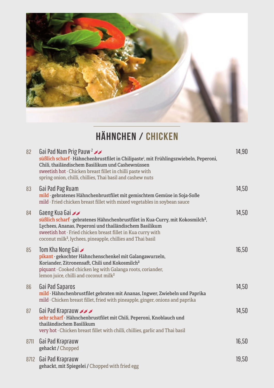

## Hähnchen / Chicken

| 82   | Gai Pad Nam Prig Pauw <sup>2</sup><br>süßlich scharf · Hähnchenbrustfilet in Chilipaste <sup>1</sup> , mit Frühlingszwiebeln, Peperoni,<br>Chili, thailändischem Basilikum und Cashewnüssen<br>sweetish hot · Chicken breast fillet in chilli paste with<br>spring onion, chilli, chillies, Thai basil and cashew nuts | 14,90 |
|------|------------------------------------------------------------------------------------------------------------------------------------------------------------------------------------------------------------------------------------------------------------------------------------------------------------------------|-------|
| 83   | Gai Pad Pag Ruam<br>mild · gebratenes Hähnchenbrustfilet mit gemischtem Gemüse in Soja-Soße<br>mild · Fried chicken breast fillet with mixed vegetables in soybean sauce                                                                                                                                               | 14,50 |
| 84   | Gaeng Kua Gai<br>süßlich scharf · gebratenes Hähnchenbrustfilet in Kua-Curry, mit Kokosmilch <sup>2</sup> ,<br>Lychees, Ananas, Peperoni und thailändischem Basilikum<br>sweetish hot · Fried chicken breast fillet in Kua curry with<br>coconut milk <sup>2</sup> , lychees, pineapple, chillies and Thai basil       | 14,50 |
| 85   | Tom Kha Nong Gai <b>✔</b><br>pikant · gekochter Hähnchenschenkel mit Galangawurzeln,<br>Koriander, Zitronensaft, Chili und Kokosmilch <sup>2</sup><br>piquant · Cooked chicken leg with Galanga roots, coriander,<br>lemon juice, chilli and coconut milk <sup>2</sup>                                                 | 16,50 |
| 86   | Gai Pad Saparos<br>mild · Hähnchenbrustfilet gebraten mit Ananas, Ingwer, Zwiebeln und Paprika<br>mild · Chicken breast fillet, fried with pineapple, ginger, onions and paprika                                                                                                                                       | 14,50 |
| 87   | Gai Pad Kraprauw<br>sehr scharf · Hähnchenbrustfilet mit Chili, Peperoni, Knoblauch und<br>thailändischem Basilikum<br>very hot · Chicken breast fillet with chilli, chillies, garlic and Thai basil                                                                                                                   | 14,50 |
| 8711 | Gai Pad Kraprauw<br>gehackt / Chopped                                                                                                                                                                                                                                                                                  | 16,50 |
|      | 8712 Gai Pad Kraprauw<br>gehackt, mit Spiegelei / Chopped with fried egg                                                                                                                                                                                                                                               | 19,50 |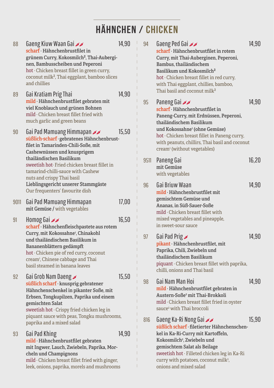# Hähnchen / Chicken

| 88   | Gaeng Kiuw Waan Gai<br>scharf · Hähnchenbrustfilet in<br>grünem Curry, Kokosmilch <sup>2</sup> , Thai-Aubergi-<br>nen, Bambusscheiben und Peperoni<br>hot · Chicken breast fillet in green curry,<br>coconut milk <sup>2</sup> , Thai eggplant, bamboo slices<br>and chillies | 14,90 | 94              | Gaeng Ped Gai<br>scharf · Hähnchenbrustfilet in rotem<br>Curry, mit Thai-Auberginen, Peperoni,<br>Bambus, thailändischem<br>Basilikum und Kokosmilch <sup>2</sup><br>hot · Chicken breast fillet in red curry,<br>with Thai eggplant, chillies, bamboo, | 14,90 |
|------|-------------------------------------------------------------------------------------------------------------------------------------------------------------------------------------------------------------------------------------------------------------------------------|-------|-----------------|---------------------------------------------------------------------------------------------------------------------------------------------------------------------------------------------------------------------------------------------------------|-------|
| 89   | Gai Kratiam Prig Thai<br>mild · Hähnchenbrustfilet gebraten mit<br>viel Knoblauch und grünen Bohnen<br>mild · Chicken breast fillet fried with<br>much garlic and green beans                                                                                                 | 14,90 | 95 <sub>1</sub> | Thai basil and coconut milk <sup>2</sup><br>Paneng Gai <b>A</b><br>scharf · Hähnchenbrustfilet in<br>Paneng-Curry, mit Erdnüssen, Peperoni,<br>thailändischem Basilikum                                                                                 | 14,90 |
| 90   | Gai Pad Mamuang Himmapan<br>süßlich-scharf · gebratenes Hähnchenbrust-<br>filet in Tamarinden-Chili-Soße, mit<br>Cashewnüssen und knusprigem                                                                                                                                  | 15,50 |                 | und Kokossahne <sup>1</sup> (ohne Gemüse)<br>hot · Chicken breast fillet in Paneng curry,<br>with peanuts, chillirs, Thai basil and coconut<br>cream <sup>1</sup> (without vegetables)                                                                  |       |
|      | thailändischen Basilikum<br>sweetish hot Fried chicken breast fillet in<br>tamarind-chilli-sauce with Cashew<br>nuts and crispy Thai basil                                                                                                                                    |       | 9511            | Paneng Gai<br>mit Gemüse<br>with vegetables                                                                                                                                                                                                             | 16,20 |
|      | Lieblingsgericht unserer Stammgäste<br>Our frequenters' favourite dish                                                                                                                                                                                                        |       | 96              | Gai Briuw Waan<br>mild · Hähnchenbrustfilet mit                                                                                                                                                                                                         | 14,90 |
| 9011 | Gai Pad Mamuang Himmapan<br>mit Gemüse / with vegetables                                                                                                                                                                                                                      | 17,00 |                 | gemischtem Gemüse und<br>Ananas, in Süß-Sauer-Soße<br>mild · Chicken breast fillet with                                                                                                                                                                 |       |
| 91   | Homog Gai $\mathscr{A}$<br>scharf · Hähnchenfleischpastete aus rotem                                                                                                                                                                                                          | 16,50 |                 | mixed vegetables and pineapple,<br>in sweet-sour sauce                                                                                                                                                                                                  |       |
|      | Curry, mit Kokossahne <sup>1</sup> , Chinakohl<br>und thailändischem Basilikum in<br>Bananenblättern gedämpft<br>hot · Chicken pie of red curry, coconut<br>cream <sup>1</sup> , Chinese cabbage and Thai<br>basil steamed in banana leaves                                   |       | 97              | Gai Pad Prig<br>pikant · Hähnchenbrustfilet, mit<br>Paprika, Chili, Zwiebeln und<br>thailändischem Basilikum<br>piquant · Chicken breast fillet with paprika,<br>chilli, onions and Thai basil                                                          | 14,90 |
| 92   | Gai Grob Nam Daeng <b>≥</b><br>süßlich scharf · knusprig gebratener<br>Hähnchenschenkel in pikanter Soße, mit<br>Erbsen, Tongkupilzen, Paprika und einem<br>gemischten Salat<br>sweetish hot · Crispy fried chicken leg in                                                    | 15,50 | 98              | Gai Nam Man Hoi<br>mild · Hähnchenbrustfilet gebraten in<br>Austern-Soße <sup>2</sup> mit Thai-Brokkoli<br>mild · Chicken breast fillet fried in oyster<br>sauce <sup>2</sup> with Thai broccoli                                                        | 14,90 |
|      | piquant sauce with peas, Tongku mushrooms,<br>paprika and a mixed salad                                                                                                                                                                                                       |       | 816             | Gaeng Ka-Ri Nong Gai <b>⊿</b><br>süßlich scharf · filetierter Hähnchenschen-                                                                                                                                                                            | 15,90 |
| 93   | Gai Pad Khing<br>mild · Hähnchenbrustfilet gebraten<br>mit Ingwer, Lauch, Zwiebeln, Paprika, Mor-<br>cheln und Champignons<br>mild · Chicken breast fillet fried with ginger,<br>leek, onions, paprika, morels and mushrooms                                                  | 14,90 |                 | kel in Ka-Ri-Curry mit Kartoffeln,<br>Kokosmilch <sup>2</sup> , Zwiebeln und<br>gemischtem Salat als Beilage<br>sweetish hot · Filleted chicken leg in Ka-Ri<br>curry with potatoes, coconut milk <sup>2</sup> ,<br>onions and mixed salad              |       |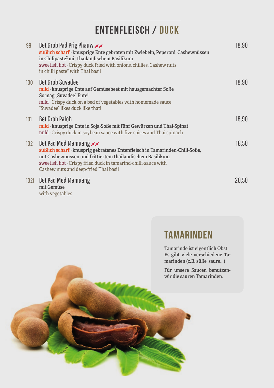### Entenfleisch / Duck

| 99               | <b>Bet Grob Pad Prig Phauw</b><br>süßlich scharf · knusprige Ente gebraten mit Zwiebeln, Peperoni, Cashewnüssen<br>in Chilipaste <sup>2</sup> mit thailändischem Basilikum<br>sweetish hot · Crispy duck fried with onions, chillies, Cashew nuts<br>in chilli paste <sup>2</sup> with Thai basil | 18,90 |
|------------------|---------------------------------------------------------------------------------------------------------------------------------------------------------------------------------------------------------------------------------------------------------------------------------------------------|-------|
| 100 <sub>1</sub> | <b>Bet Grob Suvadee</b><br>mild · knusprige Ente auf Gemüsebeet mit hausgemachter Soße<br>So mag "Suvadee" Ente!<br>$mid \cdot$ Crispy duck on a bed of vegetables with homemade sauce<br>"Suvadee" likes duck like that!                                                                         | 18,90 |
| 101              | <b>Bet Grob Paloh</b><br>mild · knusprige Ente in Soja-Soße mit fünf Gewürzen und Thai-Spinat<br>$mid \cdot$ Crispy duck in soybean sauce with five spices and Thai spinach                                                                                                                       | 18,90 |
| 102 <sub>2</sub> | Bet Pad Med Mamuang<br>süßlich scharf · knusprig gebratenes Entenfleisch in Tamarinden-Chili-Soße,<br>mit Cashewnüssen und frittiertem thailändischem Basilikum<br>sweetish hot $\cdot$ Crispy fried duck in tamarind-chilli-sauce with<br>Cashew nuts and deep-fried Thai basil                  | 18,50 |
|                  | 1021 Bet Pad Med Mamuang<br>mit Gemüse<br>with vegetables                                                                                                                                                                                                                                         | 20,50 |

#### **TAMARINDEN**

Tamarinde ist eigentlich Obst. Es gibt viele verschiedene Tamarinden (z.B. süße, saure...)

Für unsere Saucen benutzenwir die sauren Tamarinden.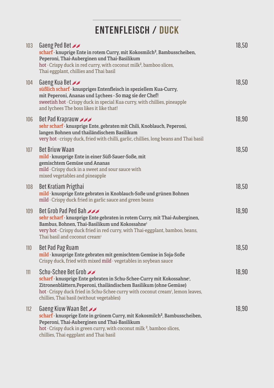### Entenfleisch / Duck

| 103 | Gaeng Ped Bet<br>scharf · knuprige Ente in rotem Curry, mit Kokosmilch <sup>2</sup> , Bambusscheiben,<br>Peperoni, Thai-Auberginen und Thai-Basilikum<br>hot · Crispy duck in red curry, with coconut milk <sup>2</sup> , bamboo slices,<br>Thai eggplant, chillies and Thai basil                                          | 18,50 |
|-----|-----------------------------------------------------------------------------------------------------------------------------------------------------------------------------------------------------------------------------------------------------------------------------------------------------------------------------|-------|
| 104 | Gaeng Kua Bet<br>süßlich scharf · knuspriges Entenfleisch in speziellem Kua-Curry,<br>mit Peperoni, Ananas und Lychees - So mag sie der Chef!<br>sweetish hot · Crispy duck in special Kua curry, with chillies, pineapple<br>and lychees The boss likes it like that!                                                      | 18,50 |
| 106 | Bet Pad Kraprauw<br>sehr scharf · knusprige Ente, gebraten mit Chili, Knoblauch, Peperoni,<br>langen Bohnen und thailändischem Basilikum<br>very hot · crispy duck, fried with chilli, garlic, chillies, long beans and Thai basil                                                                                          | 18,90 |
| 107 | <b>Bet Briuw Waan</b><br>mild · knusprige Ente in einer Süß-Sauer-Soße, mit<br>gemischtem Gemüse und Ananas<br>mild · Crispy duck in a sweet and sour sauce with<br>mixed vegetables and pineapple                                                                                                                          | 18,50 |
| 108 | <b>Bet Kratiam Prigthai</b><br>mild · knusprige Ente gebraten in Knoblauch-Soße und grünen Bohnen<br>mild · Crispy duck fried in garlic sauce and green beans                                                                                                                                                               | 18,50 |
| 109 | <b>Bet Grob Pad Ped Bah</b><br>sehr scharf · knusprige Ente gebraten in rotem Curry, mit Thai-Auberginen,<br>Bambus, Bohnen, Thai-Basilikum und Kokossahne <sup>1</sup><br>very hot · Crispy duck fried in red curry, with Thai-eggplant, bamboo, beans,<br>Thai basil and coconut cream <sup>1</sup>                       | 18,90 |
|     | 110 Bet Pad Pag Ruam<br>mild · knusprige Ente gebraten mit gemischtem Gemüse in Soja-Soße<br>Crispy duck, fried with mixed $mid \cdot$ vegetables in soybean sauce                                                                                                                                                          | 18,50 |
| 111 | Schu-Schee Bet Grob<br>scharf · knusprige Ente gebraten in Schu-Schee-Curry mit Kokossahne <sup>1</sup> ,<br>Zitronenblättern, Peperoni, thailändischem Basilikum (ohne Gemüse)<br>hot · Crispy duck fried in Schu-Schee curry with coconut cream <sup>1</sup> , lemon leaves,<br>chillies, Thai basil (without vegetables) | 18,90 |
| 112 | Gaeng Kiuw Waan Bet<br>scharf · knusprige Ente in grünem Curry, mit Kokosmilch <sup>2</sup> , Bambusscheiben,<br>Peperoni, Thai-Auberginen und Thai-Basilikum<br>hot · Crispy duck in green curry, with coconut milk <sup>2</sup> , bamboo slices,<br>chillies, Thai eggplant and Thai basil                                | 18,90 |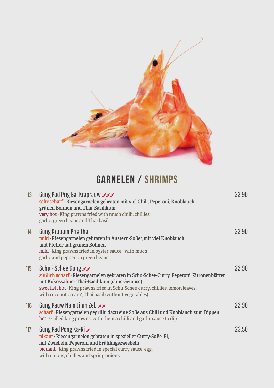

### GARNELEN / SHRIMPS

| 113 | Gung Pad Prig Bai Kraprauw<br>sehr scharf · Riesengarnelen gebraten mit viel Chili, Peperoni, Knoblauch,<br>grünen Bohnen und Thai-Basilikum<br>very hot · King prawns fried with much chilli, chillies,<br>garlic. green beans and Thai basil                                                                                    | 22,90 |
|-----|-----------------------------------------------------------------------------------------------------------------------------------------------------------------------------------------------------------------------------------------------------------------------------------------------------------------------------------|-------|
| 114 | <b>Gung Kratiam Prig Thai</b><br>mild · Riesengarnelen gebraten in Austern-Soße <sup>2</sup> , mit viel Knoblauch<br>und Pfeffer auf grünen Bohnen<br>$mild·$ King prawns fried in oyster sauce <sup>2</sup> , with much<br>garlic and pepper on green beans                                                                      | 22,90 |
| 115 | Schu - Schee Gung<br>süßlich scharf · Riesengarnelen gebraten in Schu-Schee-Curry, Peperoni, Zitronenblätter,<br>mit Kokossahne <sup>1</sup> , Thai-Basilikum (ohne Gemüse)<br>sweetish hot · King prawns fried in Schu-Schee-curry, chillies, lemon leaves,<br>with coconut cream <sup>1</sup> , Thai basil (without vegetables) | 22,90 |
| 116 | Gung Pauw Nam Jihm Zeb<br>scharf · Riesengarnelen gegrillt, dazu eine Soße aus Chili und Knoblauch zum Dippen<br>hot · Grilled king prawns, with them a chilli and garlic sauce to dip                                                                                                                                            | 22,90 |
| 117 | Gung Pad Pong Ka-Ri <b></b><br>pikant · Riesengarnelen gebraten in spezieller Curry-Soße, Ei,<br>mit Zwiebeln, Peperoni und Frühlingszwiebeln<br>piquant · King prawns fried in special curry sauce, egg,<br>with onions, chillies and spring onions                                                                              | 23,50 |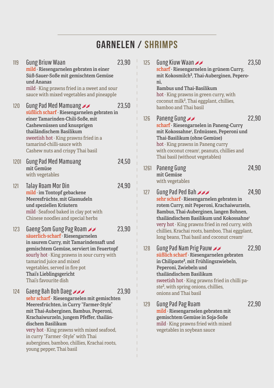### Garnelen / Shrimps

23,50

 $22,90$ 

24,90

24,90

22,90

 $22,90$ 

| 119  | <b>Gung Briuw Waan</b><br>mild · Riesengarnelen gebraten in einer<br>Süß-Sauer-Soße mit gemischtem Gemüse<br>und Ananas<br>$mid \cdot$ King prawns fried in a sweet and sour<br>sauce with mixed vegetables and pineapple                                                                                                                                         | 23,90 | 125  | Gung Kiuw Waan<br>scharf · Riesengarnelen in grünem Curry,<br>mit Kokosmilch <sup>2</sup> , Thai-Auberginen, Pepero-<br>ni,<br><b>Bambus und Thai-Basilikum</b><br>$hot \cdot King$ prawns in green curry, with<br>coconut milk <sup>2</sup> , Thai eggplant, chillies,                                                                              | 23 |
|------|-------------------------------------------------------------------------------------------------------------------------------------------------------------------------------------------------------------------------------------------------------------------------------------------------------------------------------------------------------------------|-------|------|------------------------------------------------------------------------------------------------------------------------------------------------------------------------------------------------------------------------------------------------------------------------------------------------------------------------------------------------------|----|
| 120  | Gung Pad Med Mamuang<br>süßlich scharf · Riesengarnelen gebraten in<br>einer Tamarinden-Chili-Soße, mit<br>Cashewnüssen und knusprigen<br>thailändischem Basilikum<br>sweetish hot · King prawns fried in a<br>tamarind-chilli-sauce with<br>Cashew nuts and crispy Thai basil                                                                                    | 23,50 | 126  | bamboo and Thai basil<br>Paneng Gung<br>scharf · Riesengarnelen in Paneng-Curry<br>mit Kokossahne <sup>1</sup> , Erdnüssen, Peperoni und<br>Thai-Basilikum (ohne Gemüse)<br>$hot \cdot$ King prawns in Paneng curry<br>with coconut cream <sup>1</sup> , peanuts, chillies and<br>Thai basil (without vegetables)                                    | 22 |
| 1201 | <b>Gung Pad Med Mamuang</b><br>mit Gemüse<br>with vegetables                                                                                                                                                                                                                                                                                                      | 24,50 | 1261 | <b>Paneng Gung</b><br>mit Gemüse                                                                                                                                                                                                                                                                                                                     | 24 |
| 121  | Talay Roam Mor Din<br>mild · im Tontopf gebackene<br>Meeresfrüchte, mit Glasnudeln<br>und speziellen Kräutern<br>mild · Seafood baked in clay pot with<br>Chinese noodles and special herbs                                                                                                                                                                       | 24,90 | 127  | with vegetables<br>Gung Pad Ped Bah<br>sehr scharf · Riesengarnelen gebraten in<br>rotem Curry, mit Peperoni, Krachaiwurzeln,<br>Bambus, Thai-Auberginen, langen Bohnen,<br>thailändischem Basilikum und Kokossahne <sup>1</sup>                                                                                                                     | 24 |
| 123  | Gaeng Som Gung Pag Roam<br>säuerlich-scharf · Riesengarnelen<br>in saurem Curry, mit Tamarindensaft und<br>gemischtem Gemüse, serviert im Feuertopf<br>sourly hot $\cdot$ King prawns in sour curry with<br>tamarind juice and mixed<br>vegetables, served in fire pot<br>Thai's Lieblingsgericht                                                                 | 23,90 | 128  | very hot $\cdot$ King prawns fried in red curry, with<br>chillies, Krachai roots, bamboo, Thai eggplant,<br>long beans, Thai basil and coconut cream <sup>1</sup><br>Gung Pad Nam Prig Pauw<br>süßlich scharf · Riesengarnelen gebraten<br>in Chilipaste <sup>2</sup> , mit Frühlingszwiebeln,<br>Peperoni, Zwiebeln und<br>thailändischem Basilikum | 22 |
| 124  | Thai's favourite dish<br>Gaeng Bah Boh Daeg AN                                                                                                                                                                                                                                                                                                                    | 23,90 |      | sweetish hot · King prawns fried in chilli pa-<br>ste <sup>2</sup> , with spring onions, chillies,<br>onions and Thai basil                                                                                                                                                                                                                          |    |
|      | sehr scharf · Riesengarnelen mit gemischten<br>Meeresfrüchten, in Curry "Farmer-Style"<br>mit Thai-Auberginen, Bambus, Peperoni,<br>Krachaiwurzeln, jungem Pfeffer, thailän-<br>dischem Basilikum<br>very hot · King prawns with mixed seafood,<br>in curry "Farmer -Style" with Thai<br>aubergines, bamboo, chillies, Krachai roots,<br>young pepper, Thai basil |       | 129  | <b>Gung Pad Pag Ruam</b><br>mild · Riesengarnelen gebraten mit<br>gemischtem Gemüse in Soja-Soße<br>mild $\cdot$ King prawns fried with mixed<br>vegetables in soybean sauce                                                                                                                                                                         | 22 |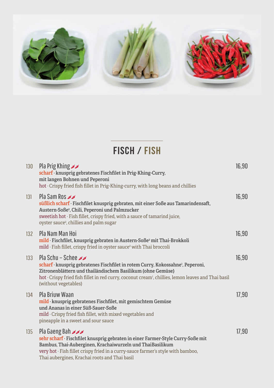

## Fisch / Fish

| 130 | Pla Prig Khing ⊿⊿<br>scharf · knusprig gebratenes Fischfilet in Prig-Khing-Curry,<br>mit langen Bohnen und Peperoni<br>hot Crispy fried fish fillet in Prig-Khing-curry, with long beans and chillies                                                                                                                              | 16,90 |
|-----|------------------------------------------------------------------------------------------------------------------------------------------------------------------------------------------------------------------------------------------------------------------------------------------------------------------------------------|-------|
| 131 | Pla Sam Ros<br>süßlich scharf · Fischfilet knusprig gebraten, mit einer Soße aus Tamarindensaft,<br>Austern-Soße <sup>2</sup> , Chili, Peperoni und Palmzucker<br>sweetish hot · Fish fillet, crispy fried, with a sauce of tamarind juice,<br>oyster sauce <sup>2</sup> , chillies and palm sugar                                 | 16,90 |
| 132 | Pla Nam Man Hoi<br>mild · Fischfilet, knusprig gebraten in Austern-Soße <sup>2</sup> mit Thai-Brokkoli<br>mild · Fish fillet, crispy fried in oyster sauce <sup>2</sup> with Thai broccoli                                                                                                                                         | 16,90 |
| 133 | Pla Schu – Schee <b>⊿</b><br>scharf · knusprig gebratenes Fischfilet in rotem Curry, Kokossahne <sup>1</sup> , Peperoni,<br>Zitronenblättern und thailändischem Basilikum (ohne Gemüse)<br>hot · Crispy fried fish fillet in red curry, coconut cream <sup>1</sup> , chillies, lemon leaves and Thai basil<br>(without vegetables) | 16,90 |
| 134 | Pla Briuw Waan<br>mild · knusprig gebratenes Fischfilet, mit gemischtem Gemüse<br>und Ananas in einer Süß-Sauer-Soße<br>mild · Crispy fried fish fillet, with mixed vegetables and<br>pineapple in a sweet and sour sauce                                                                                                          | 17,90 |
| 135 | Pla Gaeng Bah ⊿⊿<br>sehr scharf · Fischfilet knusprig gebraten in einer Farmer-Style Curry-Soße mit<br>Bambus, Thai-Auberginen, Krachaiwurzeln und ThaiBasilikum<br>very hot · Fish fillet crispy fried in a curry-sauce farmer's style with bamboo,<br>Thai aubergines, Krachai roots and Thai basil                              | 17,90 |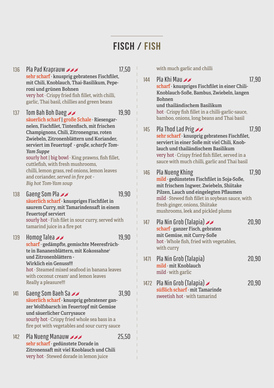### Fisch / Fish

| 136 | Pla Pad Kraprauw                                                                                                                                                                                                                                                                                  | 17,50 |      | with much garlic and chilli                                                                                                                                                                                                                                                 |       |
|-----|---------------------------------------------------------------------------------------------------------------------------------------------------------------------------------------------------------------------------------------------------------------------------------------------------|-------|------|-----------------------------------------------------------------------------------------------------------------------------------------------------------------------------------------------------------------------------------------------------------------------------|-------|
|     | sehr scharf · knusprig gebratenes Fischfilet,<br>mit Chili, Knoblauch, Thai-Basilikum, Pepe-<br>roni und grünen Bohnen<br>very hot · Crispy fried fish fillet, with chilli,<br>garlic, Thai basil, chillies and green beans                                                                       |       | 144  | Pla Khi Mau ⊿⊿<br>scharf · knuspriges Fischfilet in einer Chili-<br>Knoblauch-Soße, Bambus, Zwiebeln, langen<br><b>Bohnen</b><br>und thailändischem Basilikum                                                                                                               | 17,90 |
| 137 | Tom Bah Boh Daeg $\cancel{\mathscr{A}}$<br>säuerlich scharf   große Schale · Riesengar-                                                                                                                                                                                                           | 19,90 |      | hot · Crispy fish fillet in a chilli-garlic-sauce,<br>bamboo, onions, long beans and Thai basil                                                                                                                                                                             |       |
|     | nelen, Fischfilet, Tintenfisch, mit frischen<br>Champignons, Chili, Zitronengras, roten<br>Zwiebeln, Zitronenblättern und Koriander,<br>serviert im Feuertopf - große, scharfe Tom-<br><b>Yam Suppe</b><br>sourly hot   big bowl · King prawns, fish fillet,<br>cuttlefish, with fresh mushrooms, |       | 145  | Pla Thod Lad Prig $\mathscr{A}$<br>sehr scharf · knusprig gebratenes Fischfilet,<br>serviert in einer Soße mit viel Chili, Knob-<br>lauch und thailändischem Basilikum<br>very hot · Crispy fried fish fillet, served in a<br>sauce with much chilli, garlic and Thai basil | 17,90 |
|     | chilli, lemon grass, red onions, lemon leaves<br>and coriander, served in fire pot -<br>Big hot Tom-Yam soup                                                                                                                                                                                      |       | 146  | <b>Pla Nueng Khing</b><br>mild · gedünstetes Fischfilet in Soja-Soße,<br>mit frischem Ingwer, Zwiebeln, Shiitake                                                                                                                                                            | 17,90 |
| 138 | Gaeng Som Pla<br>säuerlich scharf · knuspriges Fischfilet in<br>saurem Curry, mit Tamarindensaft in einem<br><b>Feuertopf serviert</b>                                                                                                                                                            | 19,90 |      | Pilzen, Lauch und eingelegten Pflaumen<br>mild · Stewed fish fillet in soybean sauce, with<br>fresh ginger, onions, Shiitake<br>mushrooms, leek and pickled plums                                                                                                           |       |
|     | sourly hot · Fish filet in sour curry, served with<br>tamarind juice in a fire pot                                                                                                                                                                                                                |       | 147  | Pla Nin Grob (Talapia) $\cancel{\sigma}$<br>scharf · ganzer Fisch, gebraten                                                                                                                                                                                                 | 20,90 |
| 139 | Homog Talea $\cancel{\sigma}$<br>scharf · gedämpfte, gemischte Meeresfrüch-<br>te in Bananenblättern, mit Kokossahne <sup>1</sup>                                                                                                                                                                 | 19,90 |      | mit Gemüse, mit Curry-Soße<br>hot · Whole fish, fried with vegetables,<br>with curry                                                                                                                                                                                        |       |
|     | und Zitronenblättern -<br><b>Wirklich ein Genuss!!!</b><br>hot · Steamed mixed seafood in banana leaves<br>with coconut cream <sup>1</sup> and lemon leaves                                                                                                                                       |       | 1471 | Pla Nin Grob (Talapia)<br>mild · mit Knoblauch<br>$mild \cdot with$ garlic                                                                                                                                                                                                  | 20,90 |
|     | Really a pleasure!!!                                                                                                                                                                                                                                                                              |       |      | 1472 Pla Nin Grob (Talapia)<br>süßlich scharf · mit Tamarinde                                                                                                                                                                                                               | 20,90 |
| 141 | Gaeng Som Baeh Sa<br>säuerlich scharf · knusprig gebratener gan-<br>zer Wolfsbarsch im Feuertopf mit Gemüse<br>und säuerlicher Currysauce<br>sourly hot · Crispy fried whole sea bass in a<br>fire pot with vegetables and sour curry sauce                                                       | 31,90 |      | sweetish hot · with tamarind                                                                                                                                                                                                                                                |       |
| 142 | Pla Nueng Manauw<br>sehr scharf · gedünstete Dorade in<br>Zitronensaft mit viel Knoblauch und Chili<br>very hot · Stewed dorade in lemon juice                                                                                                                                                    | 25,50 |      |                                                                                                                                                                                                                                                                             |       |
|     |                                                                                                                                                                                                                                                                                                   |       |      |                                                                                                                                                                                                                                                                             |       |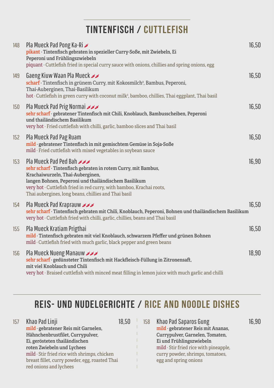### Tintenfisch / Cuttlefish

| 148 | Pla Mueck Pad Pong Ka-Ri <b></b><br>pikant · Tintenfisch gebraten in spezieller Curry-Soße, mit Zwiebeln, Ei<br>Peperoni und Frühlingszwiebeln<br>piquant · Cuttlefish fried in special curry sauce with onions, chillies and spring onions, egg                                                                            | 16,50 |
|-----|-----------------------------------------------------------------------------------------------------------------------------------------------------------------------------------------------------------------------------------------------------------------------------------------------------------------------------|-------|
| 149 | Gaeng Kiuw Waan Pla Mueck<br>scharf · Tintenfisch in grünem Curry, mit Kokosmilch <sup>2</sup> , Bambus, Peperoni,<br>Thai-Auberginen, Thai-Basilikum<br>hot · Cuttlefish in green curry with coconut milk <sup>2</sup> , bamboo, chillies, Thai eggplant, Thai basil                                                       | 16,50 |
| 150 | Pla Mueck Pad Prig Normai<br>sehr scharf · gebratener Tintenfisch mit Chili, Knoblauch, Bambusscheiben, Peperoni<br>und thailändischem Basilikum<br>very hot · Fried cuttlefish with chilli, garlic, bamboo slices and Thai basil                                                                                           | 16,50 |
| 152 | Pla Mueck Pad Pag Ruam<br>mild · gebratener Tintenfisch in mit gemischtem Gemüse in Soja-Soße<br>mild · Fried cuttlefish with mixed vegetables in soybean sauce                                                                                                                                                             | 16,50 |
| 153 | <b>Pla Mueck Pad Ped Bah</b><br>sehr scharf · Tintenfisch gebraten in rotem Curry, mit Bambus,<br>Krachaiwurzeln, Thai-Auberginen,<br>langen Bohnen, Peperoni und thailändischem Basilikum<br>very hot · Cuttlefish fried in red curry, with bamboo, Krachai roots,<br>Thai aubergines, long beans, chillies and Thai basil | 16,90 |
| 154 | Pla Mueck Pad Kraprauw<br>sehr scharf · Tintenfisch gebraten mit Chili, Knoblauch, Peperoni, Bohnen und thailändischem Basilikum<br>very hot · Cuttlefish fried with chilli, garlic, chillies, beans and Thai basil                                                                                                         | 16,50 |
| 155 | Pla Mueck Kratiam Prigthai<br>mild · Tintenfisch gebraten mit viel Knoblauch, schwarzem Pfeffer und grünen Bohnen<br>mild · Cuttlefish fried with much garlic, black pepper and green beans                                                                                                                                 | 16,50 |
| 156 | Pla Mueck Nueng Manauw<br>sehr scharf · gedünsteter Tintenfisch mit Hackfleisch-Füllung in Zitronensaft,<br>mit viel Knoblauch und Chili<br>very hot · Braised cuttlefish with minced meat filling in lemon juice with much garlic and chilli                                                                               | 18,90 |

## Reis- und Nudelgerichte / Rice and Noodle Dishes

| 157 | Khao Pad Linji                                 | 18,50 | 158 | Khao Pad Saparos Gung                        | 16,90 |
|-----|------------------------------------------------|-------|-----|----------------------------------------------|-------|
|     | mild · gebratener Reis mit Garnelen,           |       |     | mild · gebratener Reis mit Ananas,           |       |
|     | Hähnchenbrustfilet, Currypulver,               |       |     | Currypulver, Garnelen, Tomaten,              |       |
|     | Ei, gerösteten thailändischen                  |       |     | Ei und Frühlingszwiebeln                     |       |
|     | roten Zwiebeln und Lychees                     |       |     | mild $\cdot$ Stir fried rice with pineapple, |       |
|     | mild · Stir fried rice with shrimps, chicken   |       |     | curry powder, shrimps, tomatoes,             |       |
|     | breast fillet, curry powder, egg, roasted Thai |       |     | egg and spring onions                        |       |
|     | red onions and lychees                         |       |     |                                              |       |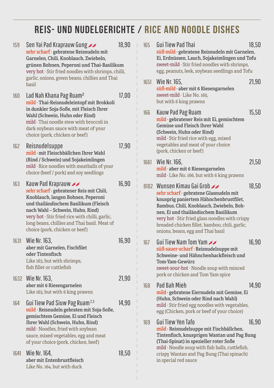### Reis- und Nudelgerichte / Rice and Noodle Dishes

| 159  | Sen Yai Pad Kraprauw Gung<br>sehr scharf · gebratene Reisnudeln mit<br>Garnelen, Chili, Knoblauch, Zwiebeln,<br>grünen Bohnen, Peperoni und Thai-Basilikum<br>very hot · Stir fried noodles with shrimps, chilli,                                                                                                              | 18,90 | 165  | <b>Gui Tiew Pad Thai</b><br>süß-mild · gebratene Reisnudeln mit Garnelen,<br>Ei, Erdnüssen, Lauch, Sojakeimlingen und Tofu<br>sweet-mild · Stir fried noodles with shrimps,<br>egg, peanuts, leek, soybean seedlings and Tofu                                                                                                           | 18,50 |
|------|--------------------------------------------------------------------------------------------------------------------------------------------------------------------------------------------------------------------------------------------------------------------------------------------------------------------------------|-------|------|-----------------------------------------------------------------------------------------------------------------------------------------------------------------------------------------------------------------------------------------------------------------------------------------------------------------------------------------|-------|
| 160  | garlic, onions, green beans, chillies and Thai<br>basil<br>Lad Nah Khana Pag Ruam <sup>2</sup><br>mild · Thai-Reisnudeleintopf mit Brokkoli                                                                                                                                                                                    | 17,00 | 1651 | Wie Nr. 165,<br>süß-mild · aber mit 6 Riesengarnelen<br>sweet-mild · Like No. 165,<br>but with 6 king prawns                                                                                                                                                                                                                            | 21,90 |
|      | in dunkler Soja-Soße, mit Fleisch Ihrer<br>Wahl (Schwein, Huhn oder Rind)<br>mild · Thai noodle stew with broccoli in<br>dark soybean sauce with meat of your<br>choice (pork, chicken or beef)                                                                                                                                |       | 166  | Kauw Pad Pag Ruam<br>mild · gebratener Reis mit Ei, gemischtem<br>Gemüse und Fleisch Ihrer Wahl<br>(Schwein, Huhn oder Rind)<br>mild $\cdot$ Stir fried rice with egg, mixed                                                                                                                                                            | 15,50 |
| 162  | Reisnudelsuppe<br>mild · mit Fleischbällchen Ihrer Wahl                                                                                                                                                                                                                                                                        | 17,90 |      | vegetables and meat of your choice<br>(pork, chicken or beef)                                                                                                                                                                                                                                                                           |       |
|      | (Rind / Schwein) und Sojakeimlingen<br>mild · Rice noodles with meatballs of your<br>choice (beef / pork) and soy seedlings                                                                                                                                                                                                    |       | 1661 | Wie Nr. 166,<br>mild · aber mit 6 Riesengarnelen<br>mild · Like No. 166, but with 6 king prawns                                                                                                                                                                                                                                         | 21,50 |
| 163  | Kauw Pad Kraprauw <b>A</b><br>sehr scharf · gebratener Reis mit Chili,<br>Knoblauch, langen Bohnen, Peperoni<br>und thailändischem Basilikum (Fleisch<br>nach Wahl - Schwein, Huhn, Rind)<br>very hot · Stir fried rice with chilli, garlic,<br>long beans, chillies and Thai basil. Meat of<br>choice (pork, chicken or beef) | 16,90 | 8182 | Wunsen Kimau Gai Grob<br>sehr scharf · gebratene Glasnudeln mit<br>knusprig paniertem Hähnchenbrustfilet,<br>Bambus, Chili, Knoblauch, Zwiebeln, Boh-<br>nen, Ei und thailändischem Basilikum<br>very hot · Stir fried glass noodles with crispy<br>breaded chicken fillet, bamboo, chili, garlic,<br>onions, beans, egg and Thai basil | 18,50 |
| 1631 | Wie Nr. 163,<br>aber mit Garnelen, Fischfilet<br>oder Tintenfisch<br>Like 163, but with shrimps,<br>fish fillet or cuttlefish                                                                                                                                                                                                  | 16,90 | 167  | Gui Tiew Nam Tom Yam A<br>süß-sauer-scharf · Reisnudelsuppe mit<br>Schweine- und Hähnchenhackfleisch und<br>Tom-Yam-Gewürz<br>sweet-sour-hot · Noodle soup with minced                                                                                                                                                                  | 16,90 |
|      | 1632 Wie Nr. 163,<br>aber mit 6 Riesengarnelen<br>Like 163, but with 6 king prawns                                                                                                                                                                                                                                             | 21,90 | 168  | pork or chicken and Tom Yam spice<br>Pad Bah Mieh<br>mild · gebratene Eiernudeln mit Gemüse, Ei                                                                                                                                                                                                                                         | 14,90 |
| 164  | Gui Tiew Pad Siuw Pag Ruam <sup>2,3</sup><br>mild · Reisnudeln gebraten mit Soja-Soße,<br>gemischtem Gemüse, Ei und Fleisch                                                                                                                                                                                                    | 14,90 |      | (Huhn, Schwein oder Rind nach Wahl)<br>$mid·$ Stir fried egg noodles with vegetables,<br>egg (Chicken, pork or beef of your choice)                                                                                                                                                                                                     |       |
|      | Ihrer Wahl (Schwein, Huhn, Rind)<br>mild · Noodles, fried with soybean<br>sauce, mixed vegetables, egg and meat<br>of your choice (pork, chicken, beef)                                                                                                                                                                        |       | 169  | Gui Tiew Yen Tafo<br>mild · Reisnudelsuppe mit Fischbällchen,<br>Tintenfisch, knusprigen Wantan und Pag Bung<br>(Thai-Spinat) in spezieller roter Soße<br>mild · Noodle soup with fish balls, cuttlefish,                                                                                                                               | 16,90 |
| 1641 | Wie Nr. 164,<br>aber mit Entenbrustfleisch<br>Like No. 164, but with duck                                                                                                                                                                                                                                                      | 18,50 |      | crispy Wantan and Pag Bung (Thai spinach)<br>in special red sauce                                                                                                                                                                                                                                                                       |       |

 $\mathbb{L}$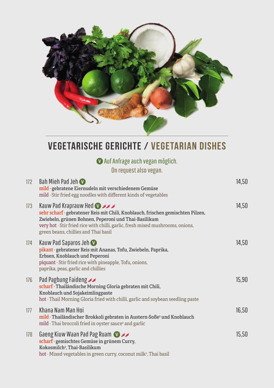

#### Vegetarische Gerichte / Vegetarian Dishes

Auf Anfrage auch vegan möglich. On request also vegan.

| 172 | <b>Bah Mieh Pad Jeh W</b><br>mild · gebratene Eiernudeln mit verschiedenem Gemüse<br>mild · Stir fried egg noodles with different kinds of vegetables                                                                                                                                                               | 14,50 |
|-----|---------------------------------------------------------------------------------------------------------------------------------------------------------------------------------------------------------------------------------------------------------------------------------------------------------------------|-------|
| 173 | Kauw Pad Kraprauw Hed $\bigcirc$ $\rightarrow$<br>sehr scharf · gebratener Reis mit Chili, Knoblauch, frischen gemischten Pilzen,<br>Zwiebeln, grünen Bohnen, Peperoni und Thai-Basilikum<br>very hot · Stir fried rice with chilli, garlic, fresh mixed mushrooms, onions,<br>green beans, chillies and Thai basil | 14,50 |
| 174 | Kauw Pad Saparos Jeh<br>pikant · gebratener Reis mit Ananas, Tofu, Zwiebeln, Paprika,<br>Erbsen, Knoblauch und Peperoni<br>piquant · Stir fried rice with pineapple, Tofu, onions,<br>paprika, peas, garlic and chillies                                                                                            | 14,50 |
| 176 | Pad Pagbung Faideng ⊿<br>scharf · Thailändische Morning Gloria gebraten mit Chili,<br>Knoblauch und Sojakeimlingpaste<br>hot · Thail Morning Gloria fried with chilli, garlic and soybean seedling paste                                                                                                            | 15,90 |
| 177 | Khana Nam Man Hoi<br>mild · Thailändischer Brokkoli gebraten in Austern-Soße <sup>2</sup> und Knoblauch<br>mild · Thai broccoli fried in oyster sauce <sup>2</sup> and garlic                                                                                                                                       | 16,50 |
| 178 | Gaeng Kiuw Waan Pad Pag Ruam<br>scharf · gemischtes Gemüse in grünem Curry,<br>Kokosmilch <sup>2</sup> , Thai-Basilikum<br>$hot$ $\cdot$ Mixed vegetables in green curry, coconut milk <sup>2</sup> , Thai basil                                                                                                    | 15,50 |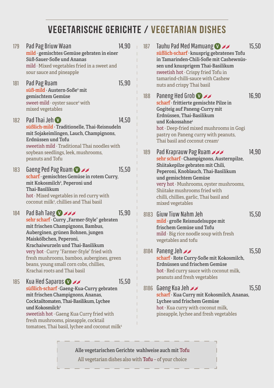### Vegetarische Gerichte / Vegetarian Dishes

179 Pad Pag Briuw Waan 14,90 mild · gemischtes Gemüse gebraten in einer Süß-Sauer-Soße und Ananas mild · Mixed vegetables fried in a sweet and sour sauce and pineapple 181 Pad Pag Ruam 15,90süß-mild · Austern-Soße<sup>2</sup> mit gemischtem Gemüse sweet-mild  $\cdot$  oyster sauce $^{\rm 2}$  with mixed vegetables  $182$  Pad Thai Jeh  $\Omega$  14,50 süßlich-mild · Traditionelle, Thai-Reisnudeln mit Sojakeimlingen, Lauch, Champignons, Erdnüssen und Tofu sweetish mild · Traditional Thai noodles with soybean seedlings, leek, mushrooms, peanuts and Tofu 183 Gaeng Ped Pag Ruam 15  $\cancel{\bullet}$  scharf · gemischtes Gemüse in rotem Curry, mit Kokosmilch<sup>2</sup>, Peperoni und Thai-Basilikum hot · Mixed vegetables in red curry with coconut milk<sup>2</sup>, chillies and Thai basil 184 Pad Bah Taeg  $\vee$   $\rightarrow$   $\rightarrow$   $\rightarrow$   $\rightarrow$  15,90 sehr scharf · Curry "Farmer-Style" gebraten mit frischen Champignons, Bambus, Auberginen, grünen Bohnen, jungen Maiskölbchen, Peperoni, Krachaiwurzeln und Thai-Basilikum very hot · Curry "Farmer-Style" fried with fresh mushrooms, bamboo, aubergines, green beans, young small corn cobs, chillies, Krachai roots and Thai basil 185 Kua Hed Saparos  $\sqrt{3}$  süßlich-scharf **·** Gaeng-Kua-Curry gebraten mit frischen Champignons, Ananas, Cocktailtomaten, Thai-Basilikum, Lychee und Kokosmilch<sup>2</sup> sweetish hot · Gaeng Kua Curry fried with fresh mushrooms, pineapple, cocktail tomatoes, Thai basil, lychee and coconut milk<sup>2</sup>

187 Tauhu Pad Med Mamuang  $\bullet \rightarrow \bullet$  15,50 süßlich-scharf **·** knusprig gebratenes Tofu in Tamarinden-Chili-Soße mit Cashewnüssen und knusprigem Thai-Basilikum sweetish hot · Crispy fried Tofu in tamarind-chilli-sauce with Cashew nuts and crispy Thai basil 188 Paneng Hed Grob  $\sqrt{\prime}$  scharf · frittierte gemischte Pilze in Gogiteig auf Paneng-Curry mit Erdnüssen, Thai-Basilikum und Kokossahne<sup>1</sup> hot · Deep-fried mixed mushrooms in Gogi pastry on Paneng curry with peanuts, Thai basil and coconut cream<sup>1</sup> 189 Pad Kraprauw Pag Ruam  $\frac{189}{14,90}$  sehr scharf · Champignons, Austernpilze, Shiitakepilze gebraten mit Chili, Peperoni, Knoblauch, Thai-Basilikum und gemischtem Gemüse very hot · Mushrooms, oyster mushrooms, Shiitake mushrooms fried with chilli, chillies, garlic, Thai basil and mixed vegetables 8183 Giuw Tiuw Nahm Jeh 15,50 mild · große Reisnudelsuppe mit frischem Gemüse und Tofu mild · Big rice noodle soup with fresh vegetables and tofu 8184 Paneng Jeh  $\rightarrow$  scharf · Rote Curry-Soße mit Kokosmilch, Erdnüssen und frischem Gemüse hot · Red curry sauce with coconut milk, peanuts and fresh vegetables 8186 Gaeng Kua Jeh 22 an 15,50 scharf · Kua Curry mit Kokosmilch, Ananas, Lychee und frischem Gemüse hot · Kua curry with coconut milk, pineapple, lychee and fresh vegetables

Alle vegetarischen Gerichte wahlweise auch mit Tofu All vegetarian dishes also with Tofu – of your choice